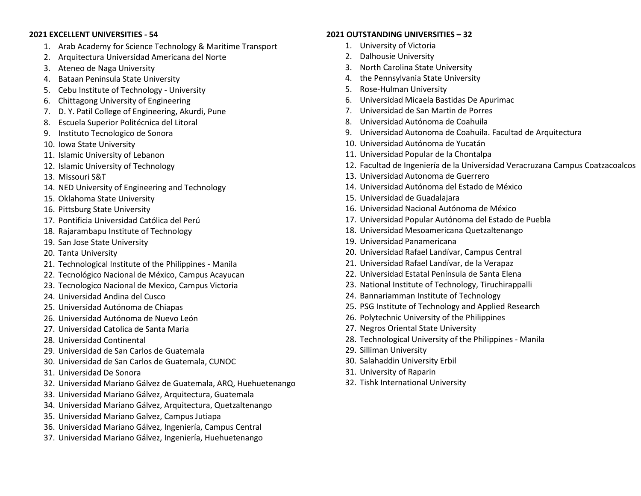## **2021 EXCELLENT UNIVERSITIES - 54**

- 1. Arab Academy for Science Technology & Maritime Transport
- 2. Arquitectura Universidad Americana del Norte
- 3. Ateneo de Naga University
- 4. Bataan Peninsula State University
- 5. Cebu Institute of Technology University
- 6. Chittagong University of Engineering
- 7. D. Y. Patil College of Engineering, Akurdi, Pune
- 8. Escuela Superior Politécnica del Litoral
- 9. Instituto Tecnologico de Sonora
- 10. Iowa State University
- 11. Islamic University of Lebanon
- 12. Islamic University of Technology
- 13. Missouri S&T
- 14. NED University of Engineering and Technology
- 15. Oklahoma State University
- 16. Pittsburg State University
- 17. Pontificia Universidad Católica del Perú
- 18. Rajarambapu Institute of Technology
- 19. San Jose State University
- 20. Tanta University
- 21. Technological Institute of the Philippines Manila
- 22. Tecnológico Nacional de México, Campus Acayucan
- 23. Tecnologico Nacional de Mexico, Campus Victoria
- 24. Universidad Andina del Cusco
- 25. Universidad Autónoma de Chiapas
- 26. Universidad Autónoma de Nuevo León
- 27. Universidad Catolica de Santa Maria
- 28. Universidad Continental
- 29. Universidad de San Carlos de Guatemala
- 30. Universidad de San Carlos de Guatemala, CUNOC
- 31. Universidad De Sonora
- 32. Universidad Mariano Gálvez de Guatemala, ARQ, Huehuetenango
- 33. Universidad Mariano Gálvez, Arquitectura, Guatemala
- 34. Universidad Mariano Gálvez, Arquitectura, Quetzaltenango
- 35. Universidad Mariano Galvez, Campus Jutiapa
- 36. Universidad Mariano Gálvez, Ingeniería, Campus Central
- 37. Universidad Mariano Gálvez, Ingeniería, Huehuetenango

## **2021 OUTSTANDING UNIVERSITIES – 32**

- 1. University of Victoria
- 2. Dalhousie University
- 3. North Carolina State University
- 4. the Pennsylvania State University
- 5. Rose-Hulman University
- 6. Universidad Micaela Bastidas De Apurimac
- 7. Universidad de San Martin de Porres
- 8. Universidad Autónoma de Coahuila
- 9. Universidad Autonoma de Coahuila. Facultad de Arquitectura
- 10. Universidad Autónoma de Yucatán
- 11. Universidad Popular de la Chontalpa
- 12. Facultad de Ingeniería de la Universidad Veracruzana Campus Coatzacoalcos
- 13. Universidad Autonoma de Guerrero
- 14. Universidad Autónoma del Estado de México
- 15. Universidad de Guadalajara
- 16. Universidad Nacional Autónoma de México
- 17. Universidad Popular Autónoma del Estado de Puebla
- 18. Universidad Mesoamericana Quetzaltenango
- 19. Universidad Panamericana
- 20. Universidad Rafael Landívar, Campus Central
- 21. Universidad Rafael Landívar, de la Verapaz
- 22. Universidad Estatal Península de Santa Elena
- 23. National Institute of Technology, Tiruchirappalli
- 24. Bannariamman Institute of Technology
- 25. PSG Institute of Technology and Applied Research
- 26. Polytechnic University of the Philippines
- 27. Negros Oriental State University
- 28. Technological University of the Philippines Manila
- 29. Silliman University
- 30. Salahaddin University Erbil
- 31. University of Raparin
- 32. Tishk International University